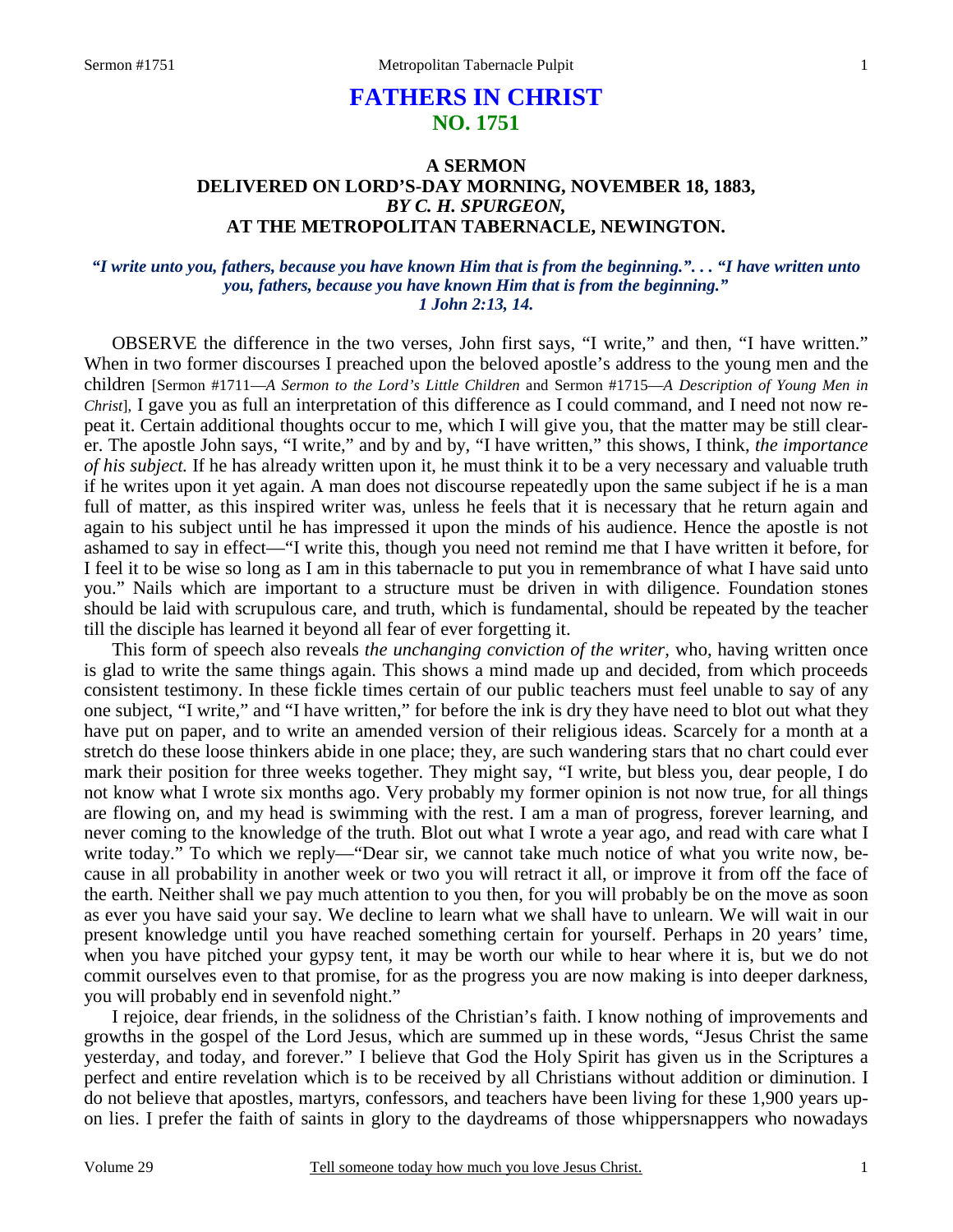# **FATHERS IN CHRIST NO. 1751**

# **A SERMON DELIVERED ON LORD'S-DAY MORNING, NOVEMBER 18, 1883,** *BY C. H. SPURGEON,*  **AT THE METROPOLITAN TABERNACLE, NEWINGTON.**

### *"I write unto you, fathers, because you have known Him that is from the beginning.". . . "I have written unto you, fathers, because you have known Him that is from the beginning." 1 John 2:13, 14.*

OBSERVE the difference in the two verses, John first says, "I write," and then, "I have written." When in two former discourses I preached upon the beloved apostle's address to the young men and the children [Sermon #1711—*A Sermon to the Lord's Little Children* and Sermon #1715—*A Description of Young Men in Christ*], I gave you as full an interpretation of this difference as I could command, and I need not now repeat it. Certain additional thoughts occur to me, which I will give you, that the matter may be still clearer. The apostle John says, "I write," and by and by, "I have written," this shows, I think, *the importance of his subject.* If he has already written upon it, he must think it to be a very necessary and valuable truth if he writes upon it yet again. A man does not discourse repeatedly upon the same subject if he is a man full of matter, as this inspired writer was, unless he feels that it is necessary that he return again and again to his subject until he has impressed it upon the minds of his audience. Hence the apostle is not ashamed to say in effect—"I write this, though you need not remind me that I have written it before, for I feel it to be wise so long as I am in this tabernacle to put you in remembrance of what I have said unto you." Nails which are important to a structure must be driven in with diligence. Foundation stones should be laid with scrupulous care, and truth, which is fundamental, should be repeated by the teacher till the disciple has learned it beyond all fear of ever forgetting it.

 This form of speech also reveals *the unchanging conviction of the writer,* who, having written once is glad to write the same things again. This shows a mind made up and decided, from which proceeds consistent testimony. In these fickle times certain of our public teachers must feel unable to say of any one subject, "I write," and "I have written," for before the ink is dry they have need to blot out what they have put on paper, and to write an amended version of their religious ideas. Scarcely for a month at a stretch do these loose thinkers abide in one place; they, are such wandering stars that no chart could ever mark their position for three weeks together. They might say, "I write, but bless you, dear people, I do not know what I wrote six months ago. Very probably my former opinion is not now true, for all things are flowing on, and my head is swimming with the rest. I am a man of progress, forever learning, and never coming to the knowledge of the truth. Blot out what I wrote a year ago, and read with care what I write today." To which we reply—"Dear sir, we cannot take much notice of what you write now, because in all probability in another week or two you will retract it all, or improve it from off the face of the earth. Neither shall we pay much attention to you then, for you will probably be on the move as soon as ever you have said your say. We decline to learn what we shall have to unlearn. We will wait in our present knowledge until you have reached something certain for yourself. Perhaps in 20 years' time, when you have pitched your gypsy tent, it may be worth our while to hear where it is, but we do not commit ourselves even to that promise, for as the progress you are now making is into deeper darkness, you will probably end in sevenfold night."

 I rejoice, dear friends, in the solidness of the Christian's faith. I know nothing of improvements and growths in the gospel of the Lord Jesus, which are summed up in these words, "Jesus Christ the same yesterday, and today, and forever." I believe that God the Holy Spirit has given us in the Scriptures a perfect and entire revelation which is to be received by all Christians without addition or diminution. I do not believe that apostles, martyrs, confessors, and teachers have been living for these 1,900 years upon lies. I prefer the faith of saints in glory to the daydreams of those whippersnappers who nowadays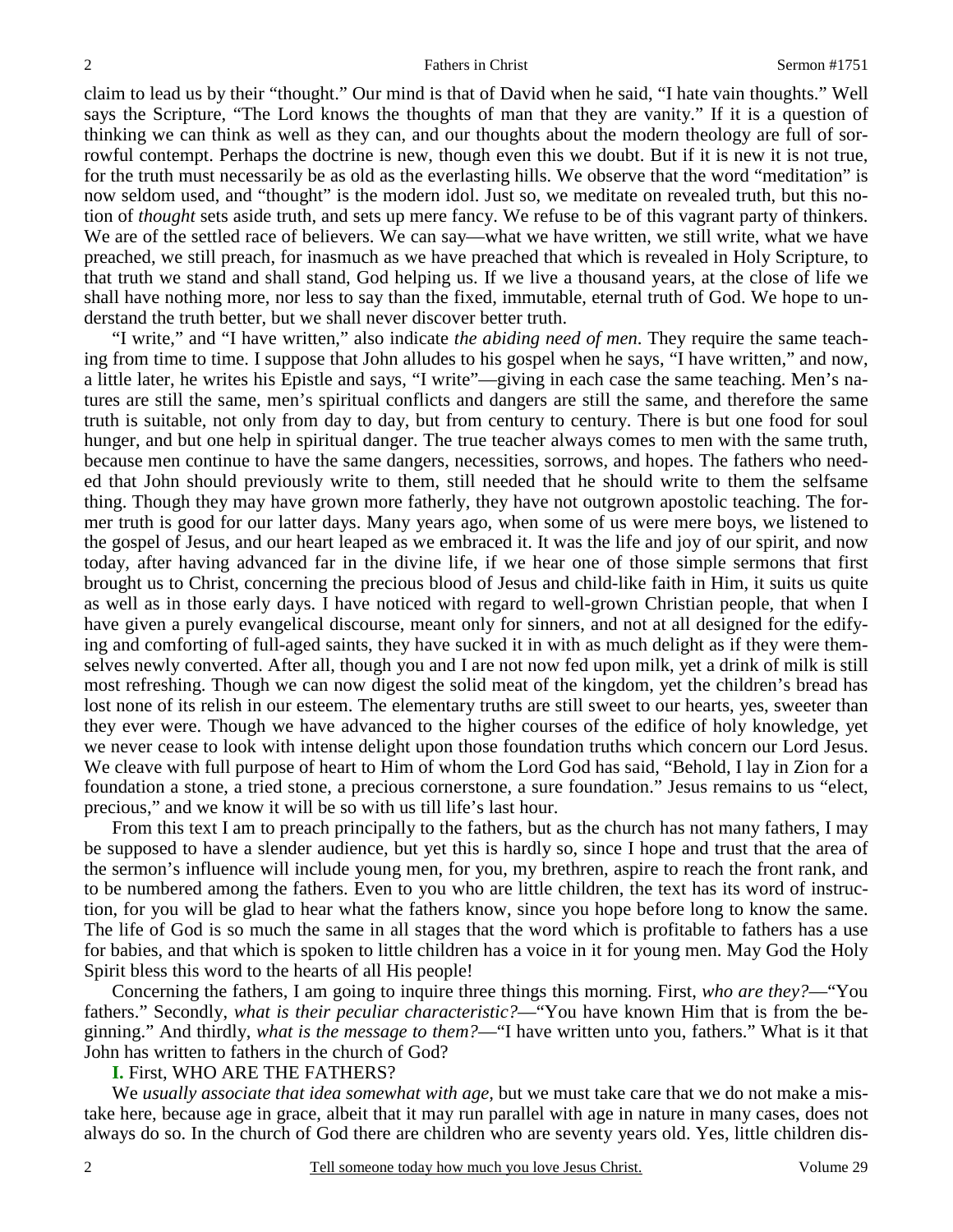claim to lead us by their "thought." Our mind is that of David when he said, "I hate vain thoughts." Well says the Scripture, "The Lord knows the thoughts of man that they are vanity." If it is a question of thinking we can think as well as they can, and our thoughts about the modern theology are full of sorrowful contempt. Perhaps the doctrine is new, though even this we doubt. But if it is new it is not true, for the truth must necessarily be as old as the everlasting hills. We observe that the word "meditation" is now seldom used, and "thought" is the modern idol. Just so, we meditate on revealed truth, but this notion of *thought* sets aside truth, and sets up mere fancy. We refuse to be of this vagrant party of thinkers. We are of the settled race of believers. We can say—what we have written, we still write, what we have preached, we still preach, for inasmuch as we have preached that which is revealed in Holy Scripture, to that truth we stand and shall stand, God helping us. If we live a thousand years, at the close of life we shall have nothing more, nor less to say than the fixed, immutable, eternal truth of God. We hope to understand the truth better, but we shall never discover better truth.

 "I write," and "I have written," also indicate *the abiding need of men*. They require the same teaching from time to time. I suppose that John alludes to his gospel when he says, "I have written," and now, a little later, he writes his Epistle and says, "I write"—giving in each case the same teaching. Men's natures are still the same, men's spiritual conflicts and dangers are still the same, and therefore the same truth is suitable, not only from day to day, but from century to century. There is but one food for soul hunger, and but one help in spiritual danger. The true teacher always comes to men with the same truth, because men continue to have the same dangers, necessities, sorrows, and hopes. The fathers who needed that John should previously write to them, still needed that he should write to them the selfsame thing. Though they may have grown more fatherly, they have not outgrown apostolic teaching. The former truth is good for our latter days. Many years ago, when some of us were mere boys, we listened to the gospel of Jesus, and our heart leaped as we embraced it. It was the life and joy of our spirit, and now today, after having advanced far in the divine life, if we hear one of those simple sermons that first brought us to Christ, concerning the precious blood of Jesus and child-like faith in Him, it suits us quite as well as in those early days. I have noticed with regard to well-grown Christian people, that when I have given a purely evangelical discourse, meant only for sinners, and not at all designed for the edifying and comforting of full-aged saints, they have sucked it in with as much delight as if they were themselves newly converted. After all, though you and I are not now fed upon milk, yet a drink of milk is still most refreshing. Though we can now digest the solid meat of the kingdom, yet the children's bread has lost none of its relish in our esteem. The elementary truths are still sweet to our hearts, yes, sweeter than they ever were. Though we have advanced to the higher courses of the edifice of holy knowledge, yet we never cease to look with intense delight upon those foundation truths which concern our Lord Jesus. We cleave with full purpose of heart to Him of whom the Lord God has said, "Behold, I lay in Zion for a foundation a stone, a tried stone, a precious cornerstone, a sure foundation." Jesus remains to us "elect, precious," and we know it will be so with us till life's last hour.

 From this text I am to preach principally to the fathers, but as the church has not many fathers, I may be supposed to have a slender audience, but yet this is hardly so, since I hope and trust that the area of the sermon's influence will include young men, for you, my brethren, aspire to reach the front rank, and to be numbered among the fathers. Even to you who are little children, the text has its word of instruction, for you will be glad to hear what the fathers know, since you hope before long to know the same. The life of God is so much the same in all stages that the word which is profitable to fathers has a use for babies, and that which is spoken to little children has a voice in it for young men. May God the Holy Spirit bless this word to the hearts of all His people!

 Concerning the fathers, I am going to inquire three things this morning. First, *who are they?*—"You fathers." Secondly, *what is their peculiar characteristic?*—"You have known Him that is from the beginning." And thirdly, *what is the message to them?*—"I have written unto you, fathers." What is it that John has written to fathers in the church of God?

### **I.** First, WHO ARE THE FATHERS?

 We *usually associate that idea somewhat with age,* but we must take care that we do not make a mistake here, because age in grace, albeit that it may run parallel with age in nature in many cases, does not always do so. In the church of God there are children who are seventy years old. Yes, little children dis-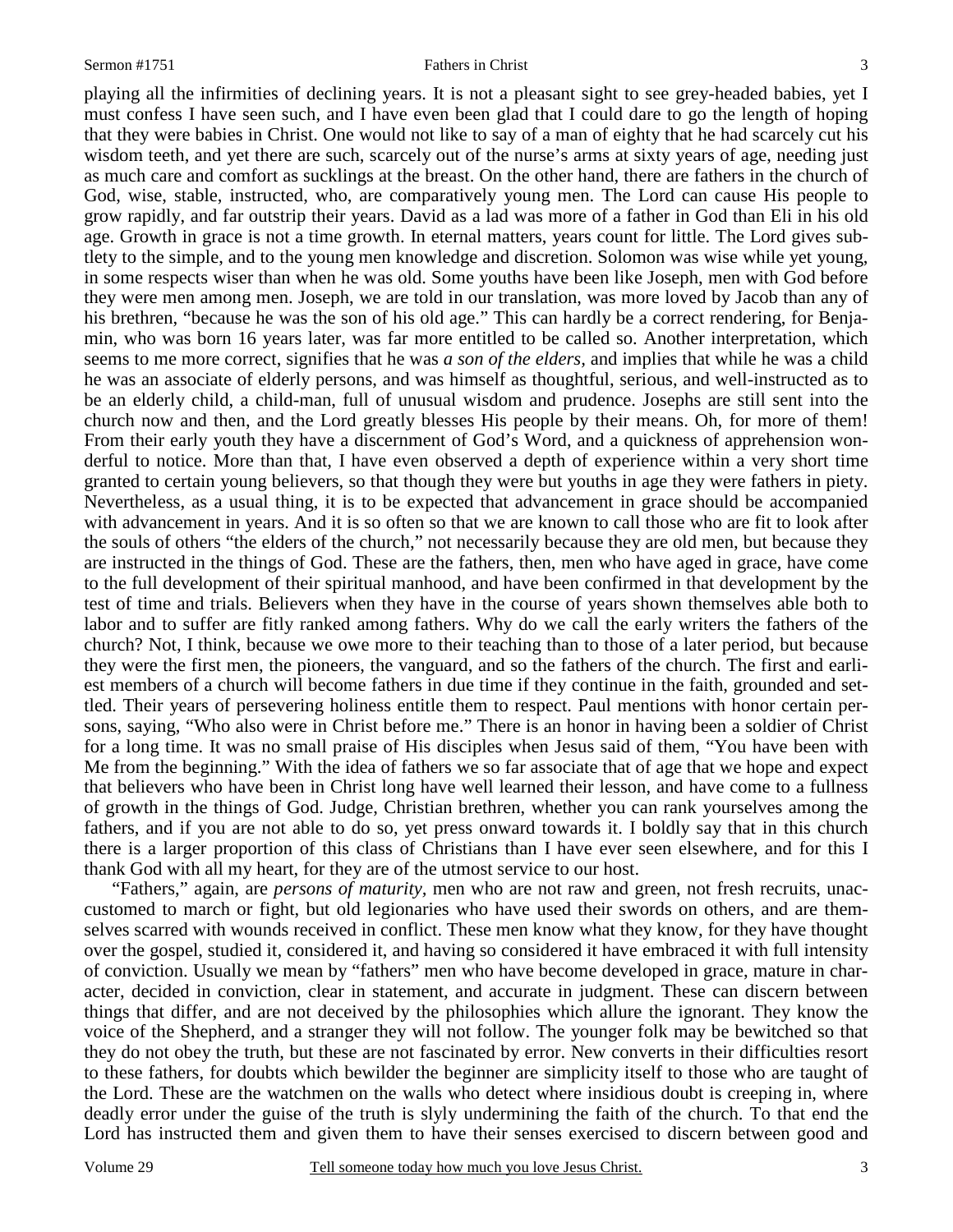#### Sermon #1751 **Sermon #1751** Fathers in Christ 3

playing all the infirmities of declining years. It is not a pleasant sight to see grey-headed babies, yet I must confess I have seen such, and I have even been glad that I could dare to go the length of hoping that they were babies in Christ. One would not like to say of a man of eighty that he had scarcely cut his wisdom teeth, and yet there are such, scarcely out of the nurse's arms at sixty years of age, needing just as much care and comfort as sucklings at the breast. On the other hand, there are fathers in the church of God, wise, stable, instructed, who, are comparatively young men. The Lord can cause His people to grow rapidly, and far outstrip their years. David as a lad was more of a father in God than Eli in his old age. Growth in grace is not a time growth. In eternal matters, years count for little. The Lord gives subtlety to the simple, and to the young men knowledge and discretion. Solomon was wise while yet young, in some respects wiser than when he was old. Some youths have been like Joseph, men with God before they were men among men. Joseph, we are told in our translation, was more loved by Jacob than any of his brethren, "because he was the son of his old age." This can hardly be a correct rendering, for Benjamin, who was born 16 years later, was far more entitled to be called so. Another interpretation, which seems to me more correct, signifies that he was *a son of the elders,* and implies that while he was a child he was an associate of elderly persons, and was himself as thoughtful, serious, and well-instructed as to be an elderly child, a child-man, full of unusual wisdom and prudence. Josephs are still sent into the church now and then, and the Lord greatly blesses His people by their means. Oh, for more of them! From their early youth they have a discernment of God's Word, and a quickness of apprehension wonderful to notice. More than that, I have even observed a depth of experience within a very short time granted to certain young believers, so that though they were but youths in age they were fathers in piety. Nevertheless, as a usual thing, it is to be expected that advancement in grace should be accompanied with advancement in years. And it is so often so that we are known to call those who are fit to look after the souls of others "the elders of the church," not necessarily because they are old men, but because they are instructed in the things of God. These are the fathers, then, men who have aged in grace, have come to the full development of their spiritual manhood, and have been confirmed in that development by the test of time and trials. Believers when they have in the course of years shown themselves able both to labor and to suffer are fitly ranked among fathers. Why do we call the early writers the fathers of the church? Not, I think, because we owe more to their teaching than to those of a later period, but because they were the first men, the pioneers, the vanguard, and so the fathers of the church. The first and earliest members of a church will become fathers in due time if they continue in the faith, grounded and settled. Their years of persevering holiness entitle them to respect. Paul mentions with honor certain persons, saying, "Who also were in Christ before me." There is an honor in having been a soldier of Christ for a long time. It was no small praise of His disciples when Jesus said of them, "You have been with Me from the beginning." With the idea of fathers we so far associate that of age that we hope and expect that believers who have been in Christ long have well learned their lesson, and have come to a fullness of growth in the things of God. Judge, Christian brethren, whether you can rank yourselves among the fathers, and if you are not able to do so, yet press onward towards it. I boldly say that in this church there is a larger proportion of this class of Christians than I have ever seen elsewhere, and for this I thank God with all my heart, for they are of the utmost service to our host.

 "Fathers," again, are *persons of maturity,* men who are not raw and green, not fresh recruits, unaccustomed to march or fight, but old legionaries who have used their swords on others, and are themselves scarred with wounds received in conflict. These men know what they know, for they have thought over the gospel, studied it, considered it, and having so considered it have embraced it with full intensity of conviction. Usually we mean by "fathers" men who have become developed in grace, mature in character, decided in conviction, clear in statement, and accurate in judgment. These can discern between things that differ, and are not deceived by the philosophies which allure the ignorant. They know the voice of the Shepherd, and a stranger they will not follow. The younger folk may be bewitched so that they do not obey the truth, but these are not fascinated by error. New converts in their difficulties resort to these fathers, for doubts which bewilder the beginner are simplicity itself to those who are taught of the Lord. These are the watchmen on the walls who detect where insidious doubt is creeping in, where deadly error under the guise of the truth is slyly undermining the faith of the church. To that end the Lord has instructed them and given them to have their senses exercised to discern between good and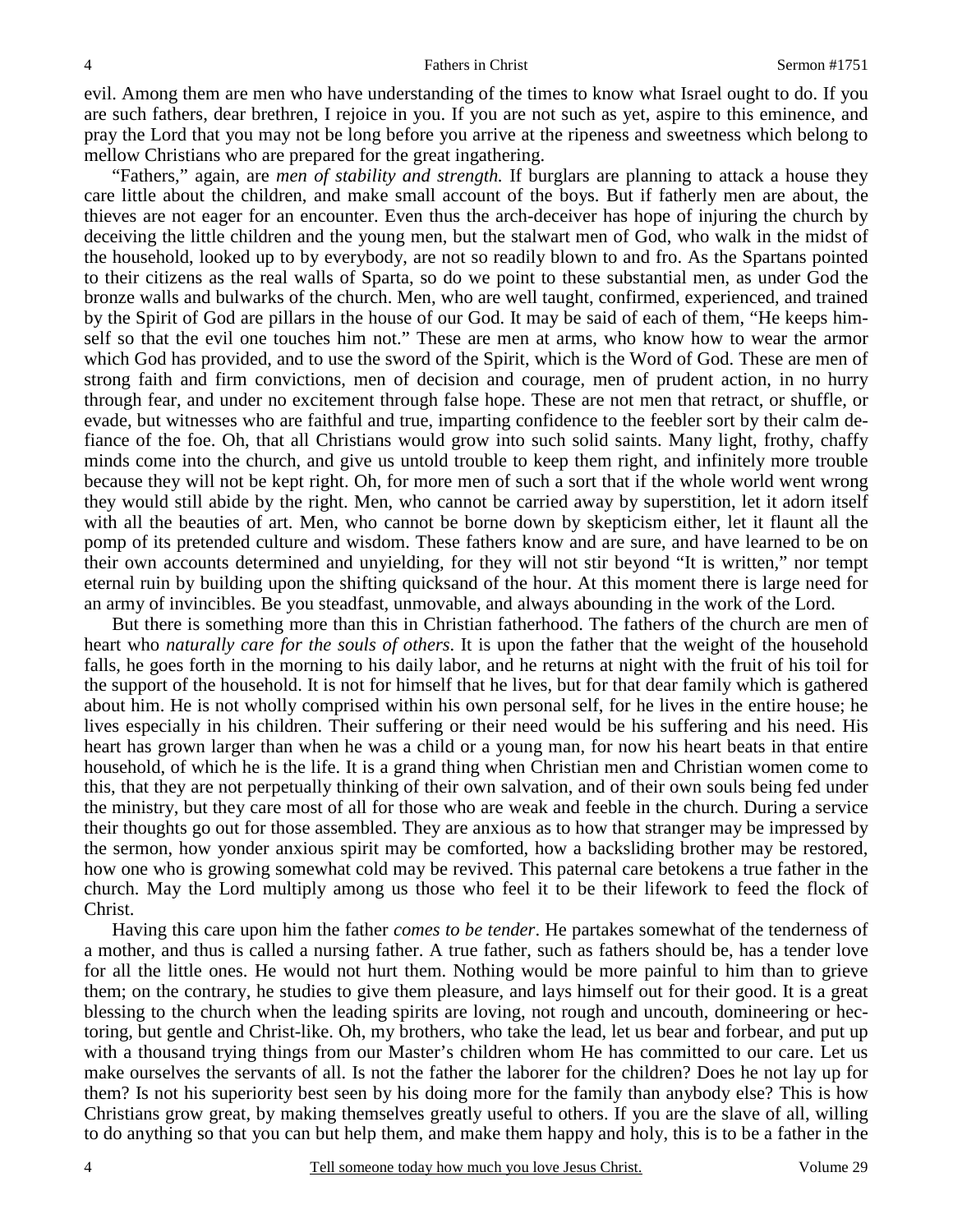evil. Among them are men who have understanding of the times to know what Israel ought to do. If you are such fathers, dear brethren, I rejoice in you. If you are not such as yet, aspire to this eminence, and pray the Lord that you may not be long before you arrive at the ripeness and sweetness which belong to mellow Christians who are prepared for the great ingathering.

 "Fathers," again, are *men of stability and strength.* If burglars are planning to attack a house they care little about the children, and make small account of the boys. But if fatherly men are about, the thieves are not eager for an encounter. Even thus the arch-deceiver has hope of injuring the church by deceiving the little children and the young men, but the stalwart men of God, who walk in the midst of the household, looked up to by everybody, are not so readily blown to and fro. As the Spartans pointed to their citizens as the real walls of Sparta, so do we point to these substantial men, as under God the bronze walls and bulwarks of the church. Men, who are well taught, confirmed, experienced, and trained by the Spirit of God are pillars in the house of our God. It may be said of each of them, "He keeps himself so that the evil one touches him not." These are men at arms, who know how to wear the armor which God has provided, and to use the sword of the Spirit, which is the Word of God. These are men of strong faith and firm convictions, men of decision and courage, men of prudent action, in no hurry through fear, and under no excitement through false hope. These are not men that retract, or shuffle, or evade, but witnesses who are faithful and true, imparting confidence to the feebler sort by their calm defiance of the foe. Oh, that all Christians would grow into such solid saints. Many light, frothy, chaffy minds come into the church, and give us untold trouble to keep them right, and infinitely more trouble because they will not be kept right. Oh, for more men of such a sort that if the whole world went wrong they would still abide by the right. Men, who cannot be carried away by superstition, let it adorn itself with all the beauties of art. Men, who cannot be borne down by skepticism either, let it flaunt all the pomp of its pretended culture and wisdom. These fathers know and are sure, and have learned to be on their own accounts determined and unyielding, for they will not stir beyond "It is written," nor tempt eternal ruin by building upon the shifting quicksand of the hour. At this moment there is large need for an army of invincibles. Be you steadfast, unmovable, and always abounding in the work of the Lord.

 But there is something more than this in Christian fatherhood. The fathers of the church are men of heart who *naturally care for the souls of others*. It is upon the father that the weight of the household falls, he goes forth in the morning to his daily labor, and he returns at night with the fruit of his toil for the support of the household. It is not for himself that he lives, but for that dear family which is gathered about him. He is not wholly comprised within his own personal self, for he lives in the entire house; he lives especially in his children. Their suffering or their need would be his suffering and his need. His heart has grown larger than when he was a child or a young man, for now his heart beats in that entire household, of which he is the life. It is a grand thing when Christian men and Christian women come to this, that they are not perpetually thinking of their own salvation, and of their own souls being fed under the ministry, but they care most of all for those who are weak and feeble in the church. During a service their thoughts go out for those assembled. They are anxious as to how that stranger may be impressed by the sermon, how yonder anxious spirit may be comforted, how a backsliding brother may be restored, how one who is growing somewhat cold may be revived. This paternal care betokens a true father in the church. May the Lord multiply among us those who feel it to be their lifework to feed the flock of Christ.

 Having this care upon him the father *comes to be tender*. He partakes somewhat of the tenderness of a mother, and thus is called a nursing father. A true father, such as fathers should be, has a tender love for all the little ones. He would not hurt them. Nothing would be more painful to him than to grieve them; on the contrary, he studies to give them pleasure, and lays himself out for their good. It is a great blessing to the church when the leading spirits are loving, not rough and uncouth, domineering or hectoring, but gentle and Christ-like. Oh, my brothers, who take the lead, let us bear and forbear, and put up with a thousand trying things from our Master's children whom He has committed to our care. Let us make ourselves the servants of all. Is not the father the laborer for the children? Does he not lay up for them? Is not his superiority best seen by his doing more for the family than anybody else? This is how Christians grow great, by making themselves greatly useful to others. If you are the slave of all, willing to do anything so that you can but help them, and make them happy and holy, this is to be a father in the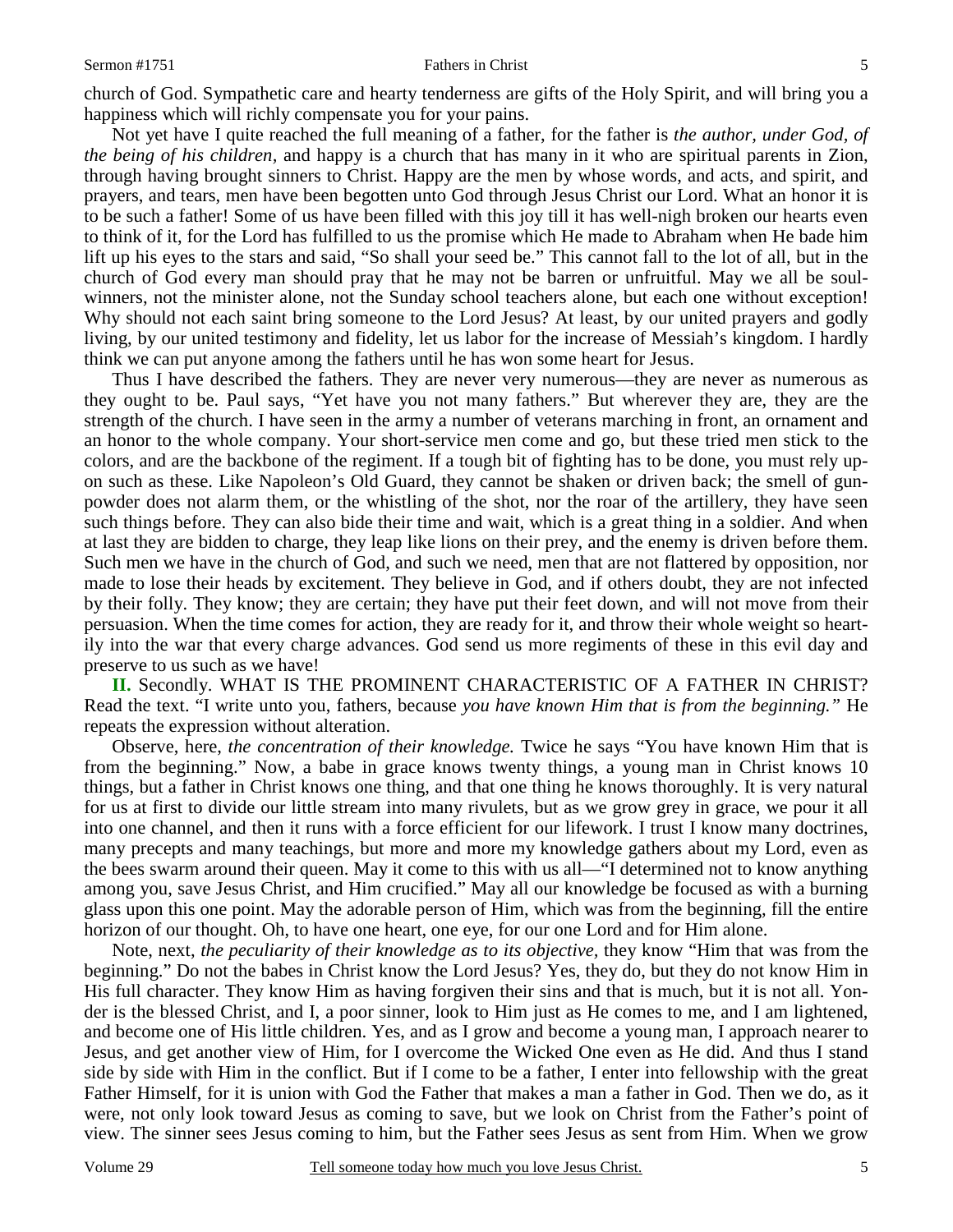#### Sermon #1751 **Fathers in Christ** 5

church of God. Sympathetic care and hearty tenderness are gifts of the Holy Spirit, and will bring you a happiness which will richly compensate you for your pains.

 Not yet have I quite reached the full meaning of a father, for the father is *the author, under God, of the being of his children,* and happy is a church that has many in it who are spiritual parents in Zion, through having brought sinners to Christ. Happy are the men by whose words, and acts, and spirit, and prayers, and tears, men have been begotten unto God through Jesus Christ our Lord. What an honor it is to be such a father! Some of us have been filled with this joy till it has well-nigh broken our hearts even to think of it, for the Lord has fulfilled to us the promise which He made to Abraham when He bade him lift up his eyes to the stars and said, "So shall your seed be." This cannot fall to the lot of all, but in the church of God every man should pray that he may not be barren or unfruitful. May we all be soulwinners, not the minister alone, not the Sunday school teachers alone, but each one without exception! Why should not each saint bring someone to the Lord Jesus? At least, by our united prayers and godly living, by our united testimony and fidelity, let us labor for the increase of Messiah's kingdom. I hardly think we can put anyone among the fathers until he has won some heart for Jesus.

 Thus I have described the fathers. They are never very numerous—they are never as numerous as they ought to be. Paul says, "Yet have you not many fathers." But wherever they are, they are the strength of the church. I have seen in the army a number of veterans marching in front, an ornament and an honor to the whole company. Your short-service men come and go, but these tried men stick to the colors, and are the backbone of the regiment. If a tough bit of fighting has to be done, you must rely upon such as these. Like Napoleon's Old Guard, they cannot be shaken or driven back; the smell of gunpowder does not alarm them, or the whistling of the shot, nor the roar of the artillery, they have seen such things before. They can also bide their time and wait, which is a great thing in a soldier. And when at last they are bidden to charge, they leap like lions on their prey, and the enemy is driven before them. Such men we have in the church of God, and such we need, men that are not flattered by opposition, nor made to lose their heads by excitement. They believe in God, and if others doubt, they are not infected by their folly. They know; they are certain; they have put their feet down, and will not move from their persuasion. When the time comes for action, they are ready for it, and throw their whole weight so heartily into the war that every charge advances. God send us more regiments of these in this evil day and preserve to us such as we have!

**II.** Secondly. WHAT IS THE PROMINENT CHARACTERISTIC OF A FATHER IN CHRIST? Read the text. "I write unto you, fathers, because *you have known Him that is from the beginning."* He repeats the expression without alteration.

 Observe, here, *the concentration of their knowledge.* Twice he says "You have known Him that is from the beginning." Now, a babe in grace knows twenty things, a young man in Christ knows 10 things, but a father in Christ knows one thing, and that one thing he knows thoroughly. It is very natural for us at first to divide our little stream into many rivulets, but as we grow grey in grace, we pour it all into one channel, and then it runs with a force efficient for our lifework. I trust I know many doctrines, many precepts and many teachings, but more and more my knowledge gathers about my Lord, even as the bees swarm around their queen. May it come to this with us all—"I determined not to know anything among you, save Jesus Christ, and Him crucified." May all our knowledge be focused as with a burning glass upon this one point. May the adorable person of Him, which was from the beginning, fill the entire horizon of our thought. Oh, to have one heart, one eye, for our one Lord and for Him alone.

 Note, next, *the peculiarity of their knowledge as to its objective,* they know "Him that was from the beginning." Do not the babes in Christ know the Lord Jesus? Yes, they do, but they do not know Him in His full character. They know Him as having forgiven their sins and that is much, but it is not all. Yonder is the blessed Christ, and I, a poor sinner, look to Him just as He comes to me, and I am lightened, and become one of His little children. Yes, and as I grow and become a young man, I approach nearer to Jesus, and get another view of Him, for I overcome the Wicked One even as He did. And thus I stand side by side with Him in the conflict. But if I come to be a father, I enter into fellowship with the great Father Himself, for it is union with God the Father that makes a man a father in God. Then we do, as it were, not only look toward Jesus as coming to save, but we look on Christ from the Father's point of view. The sinner sees Jesus coming to him, but the Father sees Jesus as sent from Him. When we grow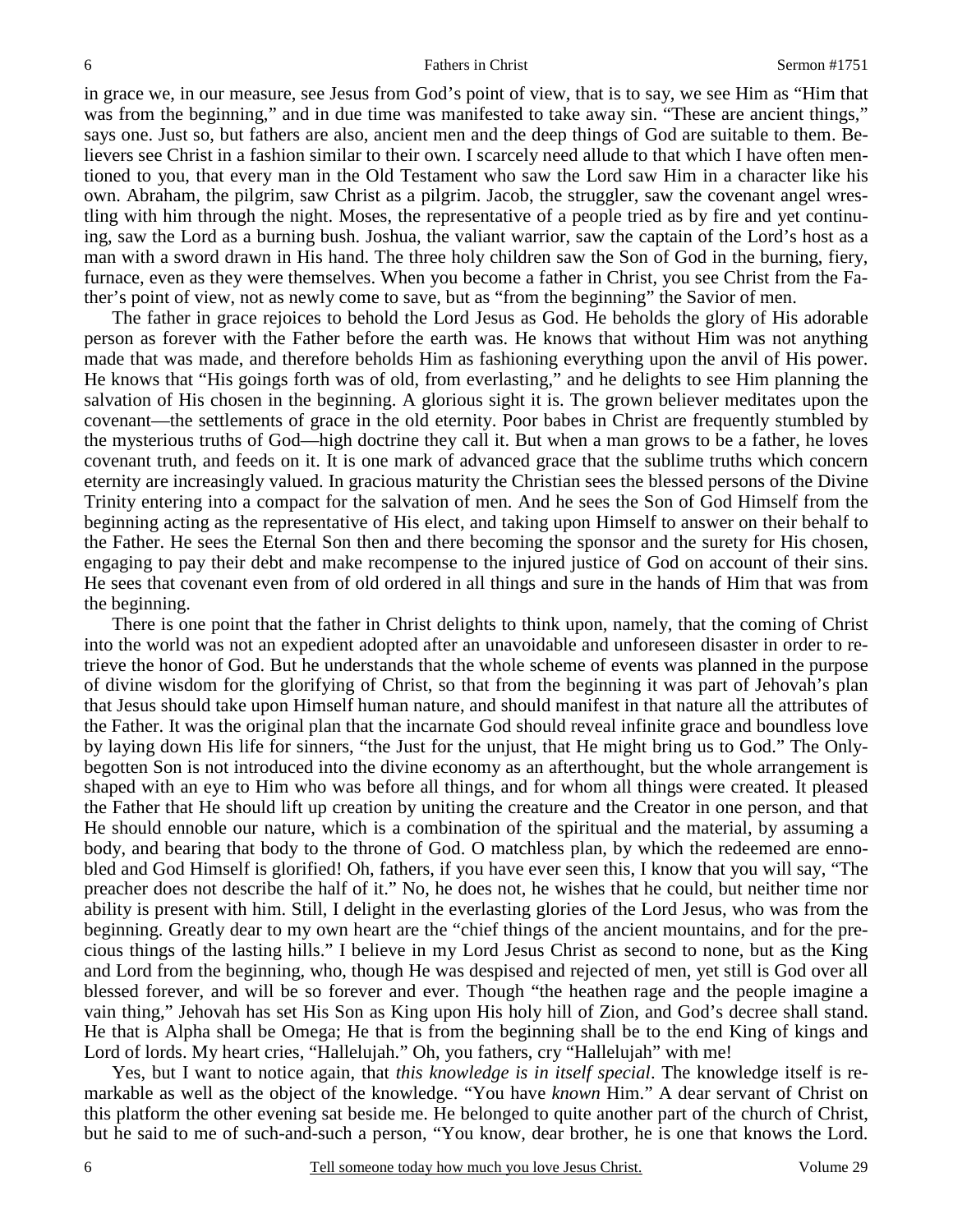in grace we, in our measure, see Jesus from God's point of view, that is to say, we see Him as "Him that was from the beginning," and in due time was manifested to take away sin. "These are ancient things," says one. Just so, but fathers are also, ancient men and the deep things of God are suitable to them. Believers see Christ in a fashion similar to their own. I scarcely need allude to that which I have often mentioned to you, that every man in the Old Testament who saw the Lord saw Him in a character like his own. Abraham, the pilgrim, saw Christ as a pilgrim. Jacob, the struggler, saw the covenant angel wrestling with him through the night. Moses, the representative of a people tried as by fire and yet continuing, saw the Lord as a burning bush. Joshua, the valiant warrior, saw the captain of the Lord's host as a man with a sword drawn in His hand. The three holy children saw the Son of God in the burning, fiery, furnace, even as they were themselves. When you become a father in Christ, you see Christ from the Father's point of view, not as newly come to save, but as "from the beginning" the Savior of men.

 The father in grace rejoices to behold the Lord Jesus as God. He beholds the glory of His adorable person as forever with the Father before the earth was. He knows that without Him was not anything made that was made, and therefore beholds Him as fashioning everything upon the anvil of His power. He knows that "His goings forth was of old, from everlasting," and he delights to see Him planning the salvation of His chosen in the beginning. A glorious sight it is. The grown believer meditates upon the covenant—the settlements of grace in the old eternity. Poor babes in Christ are frequently stumbled by the mysterious truths of God—high doctrine they call it. But when a man grows to be a father, he loves covenant truth, and feeds on it. It is one mark of advanced grace that the sublime truths which concern eternity are increasingly valued. In gracious maturity the Christian sees the blessed persons of the Divine Trinity entering into a compact for the salvation of men. And he sees the Son of God Himself from the beginning acting as the representative of His elect, and taking upon Himself to answer on their behalf to the Father. He sees the Eternal Son then and there becoming the sponsor and the surety for His chosen, engaging to pay their debt and make recompense to the injured justice of God on account of their sins. He sees that covenant even from of old ordered in all things and sure in the hands of Him that was from the beginning.

 There is one point that the father in Christ delights to think upon, namely, that the coming of Christ into the world was not an expedient adopted after an unavoidable and unforeseen disaster in order to retrieve the honor of God. But he understands that the whole scheme of events was planned in the purpose of divine wisdom for the glorifying of Christ, so that from the beginning it was part of Jehovah's plan that Jesus should take upon Himself human nature, and should manifest in that nature all the attributes of the Father. It was the original plan that the incarnate God should reveal infinite grace and boundless love by laying down His life for sinners, "the Just for the unjust, that He might bring us to God." The Onlybegotten Son is not introduced into the divine economy as an afterthought, but the whole arrangement is shaped with an eye to Him who was before all things, and for whom all things were created. It pleased the Father that He should lift up creation by uniting the creature and the Creator in one person, and that He should ennoble our nature, which is a combination of the spiritual and the material, by assuming a body, and bearing that body to the throne of God. O matchless plan, by which the redeemed are ennobled and God Himself is glorified! Oh, fathers, if you have ever seen this, I know that you will say, "The preacher does not describe the half of it." No, he does not, he wishes that he could, but neither time nor ability is present with him. Still, I delight in the everlasting glories of the Lord Jesus, who was from the beginning. Greatly dear to my own heart are the "chief things of the ancient mountains, and for the precious things of the lasting hills." I believe in my Lord Jesus Christ as second to none, but as the King and Lord from the beginning, who, though He was despised and rejected of men, yet still is God over all blessed forever, and will be so forever and ever. Though "the heathen rage and the people imagine a vain thing," Jehovah has set His Son as King upon His holy hill of Zion, and God's decree shall stand. He that is Alpha shall be Omega; He that is from the beginning shall be to the end King of kings and Lord of lords. My heart cries, "Hallelujah." Oh, you fathers, cry "Hallelujah" with me!

 Yes, but I want to notice again, that *this knowledge is in itself special*. The knowledge itself is remarkable as well as the object of the knowledge. "You have *known* Him." A dear servant of Christ on this platform the other evening sat beside me. He belonged to quite another part of the church of Christ, but he said to me of such-and-such a person, "You know, dear brother, he is one that knows the Lord.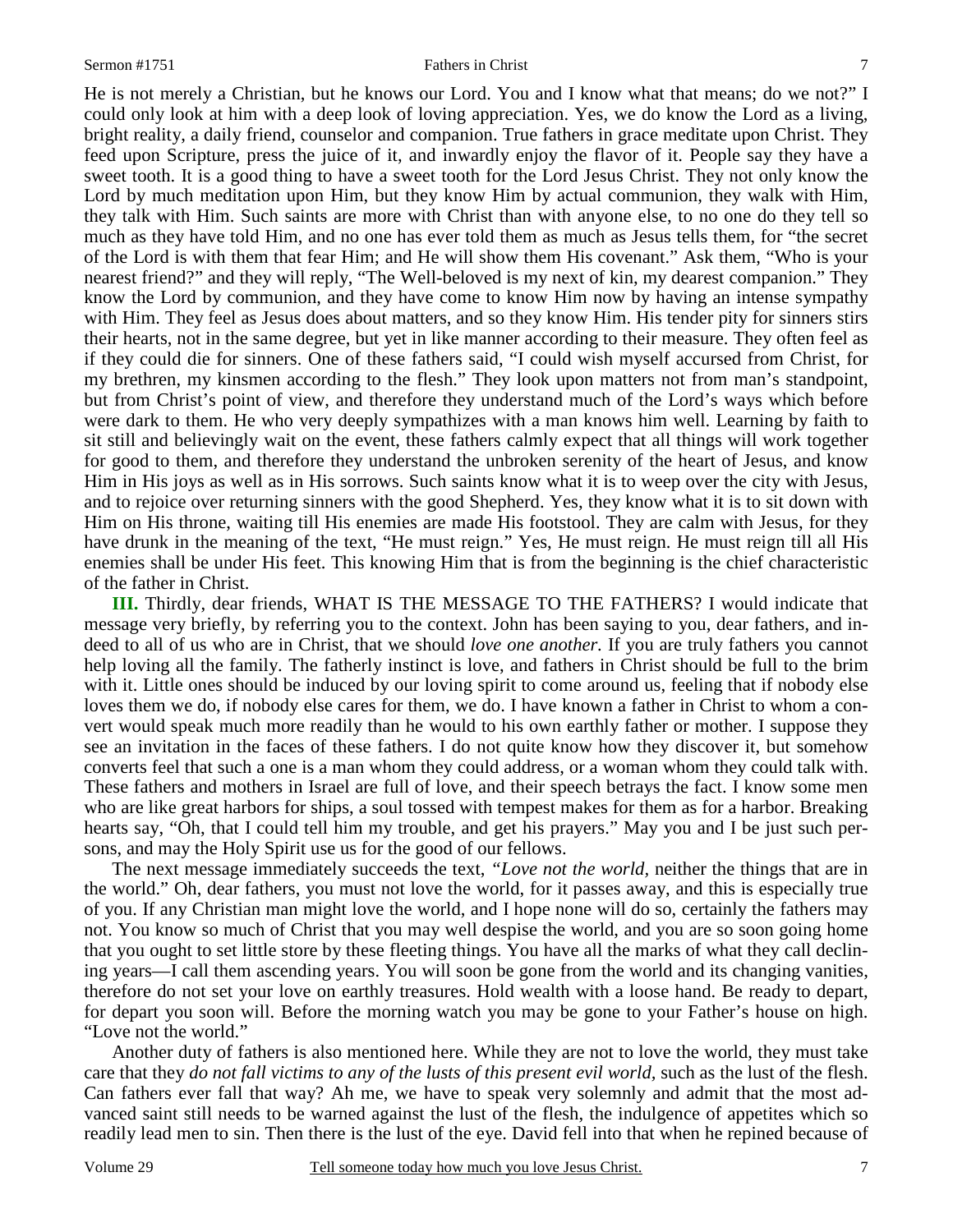He is not merely a Christian, but he knows our Lord. You and I know what that means; do we not?" I could only look at him with a deep look of loving appreciation. Yes, we do know the Lord as a living, bright reality, a daily friend, counselor and companion. True fathers in grace meditate upon Christ. They feed upon Scripture, press the juice of it, and inwardly enjoy the flavor of it. People say they have a sweet tooth. It is a good thing to have a sweet tooth for the Lord Jesus Christ. They not only know the Lord by much meditation upon Him, but they know Him by actual communion, they walk with Him, they talk with Him. Such saints are more with Christ than with anyone else, to no one do they tell so much as they have told Him, and no one has ever told them as much as Jesus tells them, for "the secret of the Lord is with them that fear Him; and He will show them His covenant." Ask them, "Who is your nearest friend?" and they will reply, "The Well-beloved is my next of kin, my dearest companion." They know the Lord by communion, and they have come to know Him now by having an intense sympathy with Him. They feel as Jesus does about matters, and so they know Him. His tender pity for sinners stirs their hearts, not in the same degree, but yet in like manner according to their measure. They often feel as if they could die for sinners. One of these fathers said, "I could wish myself accursed from Christ, for my brethren, my kinsmen according to the flesh." They look upon matters not from man's standpoint, but from Christ's point of view, and therefore they understand much of the Lord's ways which before were dark to them. He who very deeply sympathizes with a man knows him well. Learning by faith to sit still and believingly wait on the event, these fathers calmly expect that all things will work together for good to them, and therefore they understand the unbroken serenity of the heart of Jesus, and know Him in His joys as well as in His sorrows. Such saints know what it is to weep over the city with Jesus, and to rejoice over returning sinners with the good Shepherd. Yes, they know what it is to sit down with Him on His throne, waiting till His enemies are made His footstool. They are calm with Jesus, for they have drunk in the meaning of the text, "He must reign." Yes, He must reign. He must reign till all His enemies shall be under His feet. This knowing Him that is from the beginning is the chief characteristic of the father in Christ.

**III.** Thirdly, dear friends, WHAT IS THE MESSAGE TO THE FATHERS? I would indicate that message very briefly, by referring you to the context. John has been saying to you, dear fathers, and indeed to all of us who are in Christ, that we should *love one another.* If you are truly fathers you cannot help loving all the family. The fatherly instinct is love, and fathers in Christ should be full to the brim with it. Little ones should be induced by our loving spirit to come around us, feeling that if nobody else loves them we do, if nobody else cares for them, we do. I have known a father in Christ to whom a convert would speak much more readily than he would to his own earthly father or mother. I suppose they see an invitation in the faces of these fathers. I do not quite know how they discover it, but somehow converts feel that such a one is a man whom they could address, or a woman whom they could talk with. These fathers and mothers in Israel are full of love, and their speech betrays the fact. I know some men who are like great harbors for ships, a soul tossed with tempest makes for them as for a harbor. Breaking hearts say, "Oh, that I could tell him my trouble, and get his prayers." May you and I be just such persons, and may the Holy Spirit use us for the good of our fellows.

 The next message immediately succeeds the text, *"Love not the world,* neither the things that are in the world." Oh, dear fathers, you must not love the world, for it passes away, and this is especially true of you. If any Christian man might love the world, and I hope none will do so, certainly the fathers may not. You know so much of Christ that you may well despise the world, and you are so soon going home that you ought to set little store by these fleeting things. You have all the marks of what they call declining years—I call them ascending years. You will soon be gone from the world and its changing vanities, therefore do not set your love on earthly treasures. Hold wealth with a loose hand. Be ready to depart, for depart you soon will. Before the morning watch you may be gone to your Father's house on high. "Love not the world."

 Another duty of fathers is also mentioned here. While they are not to love the world, they must take care that they *do not fall victims to any of the lusts of this present evil world,* such as the lust of the flesh. Can fathers ever fall that way? Ah me, we have to speak very solemnly and admit that the most advanced saint still needs to be warned against the lust of the flesh, the indulgence of appetites which so readily lead men to sin. Then there is the lust of the eye. David fell into that when he repined because of